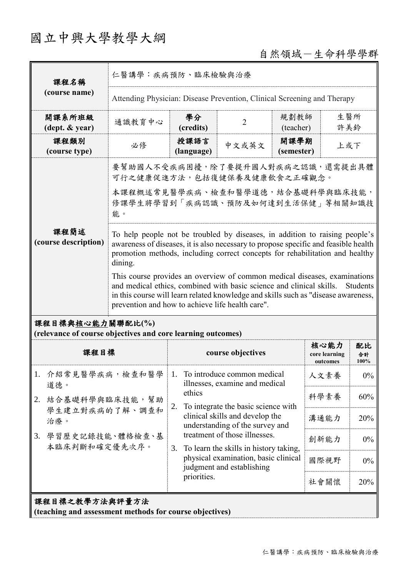# 國立中興大學教學大綱

## 自然領域-生命科學學群

| 課程名稱                                                                            | 仁醫講學:疾病預防、臨床檢驗與治療                                                                                                                                                                                                                                                                                                                                                                                                                                                                                                                                                        |                                                                               |                                                                                                      |                    |                                   |                  |  |
|---------------------------------------------------------------------------------|--------------------------------------------------------------------------------------------------------------------------------------------------------------------------------------------------------------------------------------------------------------------------------------------------------------------------------------------------------------------------------------------------------------------------------------------------------------------------------------------------------------------------------------------------------------------------|-------------------------------------------------------------------------------|------------------------------------------------------------------------------------------------------|--------------------|-----------------------------------|------------------|--|
| (course name)                                                                   | Attending Physician: Disease Prevention, Clinical Screening and Therapy                                                                                                                                                                                                                                                                                                                                                                                                                                                                                                  |                                                                               |                                                                                                      |                    |                                   |                  |  |
| 開課系所班級<br>$(\text{dept.} \& \text{ year})$                                      | 通識教育中心                                                                                                                                                                                                                                                                                                                                                                                                                                                                                                                                                                   | 學分<br>(credits)                                                               | $\overline{2}$                                                                                       | 規劃教師<br>(teacher)  |                                   | 生醫所<br>許美鈴       |  |
| 課程類別<br>(course type)                                                           | 必修                                                                                                                                                                                                                                                                                                                                                                                                                                                                                                                                                                       | 授課語言<br>(language)                                                            | 中文或英文                                                                                                | 開課學期<br>(semester) | 上或下                               |                  |  |
|                                                                                 | 要幫助國人不受疾病困擾,除了要提升國人對疾病之認識,還需提出具體<br>可行之健康促進方法,包括復健保養及健康飲食之正確觀念。                                                                                                                                                                                                                                                                                                                                                                                                                                                                                                          |                                                                               |                                                                                                      |                    |                                   |                  |  |
|                                                                                 | 本課程概述常見醫學疾病、檢查和醫學道德,結合基礎科學與臨床技能,<br>修課學生將學習到「疾病認識、預防及如何達到生活保健」等相關知識技<br>能。                                                                                                                                                                                                                                                                                                                                                                                                                                                                                               |                                                                               |                                                                                                      |                    |                                   |                  |  |
| 課程簡述<br>(course description)                                                    | To help people not be troubled by diseases, in addition to raising people's<br>awareness of diseases, it is also necessary to propose specific and feasible health<br>promotion methods, including correct concepts for rehabilitation and healthy<br>dining.<br>This course provides an overview of common medical diseases, examinations<br>and medical ethics, combined with basic science and clinical skills.<br>Students<br>in this course will learn related knowledge and skills such as "disease awareness,<br>prevention and how to achieve life health care". |                                                                               |                                                                                                      |                    |                                   |                  |  |
| 課程目標與核心能力關聯配比(%)<br>(relevance of course objectives and core learning outcomes) |                                                                                                                                                                                                                                                                                                                                                                                                                                                                                                                                                                          |                                                                               |                                                                                                      |                    |                                   |                  |  |
| 課程目標                                                                            |                                                                                                                                                                                                                                                                                                                                                                                                                                                                                                                                                                          | course objectives                                                             |                                                                                                      |                    | 核心能力<br>core learning<br>outcomes | 配比<br>合計<br>100% |  |
| 介紹常見醫學疾病,檢查和醫學<br>1.<br>道德。                                                     |                                                                                                                                                                                                                                                                                                                                                                                                                                                                                                                                                                          | 1.<br>ethics                                                                  | To introduce common medical<br>illnesses, examine and medical<br>To integrate the basic science with |                    | 人文素養                              | $0\%$            |  |
| 2.                                                                              | 結合基礎科學與臨床技能,幫助                                                                                                                                                                                                                                                                                                                                                                                                                                                                                                                                                           |                                                                               |                                                                                                      |                    | 科學素養                              | 60%              |  |
| 學生建立對疾病的了解、調查和<br>治療。<br>學習歷史記錄技能、體格檢查、基<br>3.<br>本臨床判斷和確定優先次序。                 |                                                                                                                                                                                                                                                                                                                                                                                                                                                                                                                                                                          | 2.<br>clinical skills and develop the<br>understanding of the survey and      |                                                                                                      | 溝通能力               | 20%                               |                  |  |
|                                                                                 |                                                                                                                                                                                                                                                                                                                                                                                                                                                                                                                                                                          | treatment of those illnesses.<br>To learn the skills in history taking,<br>3. |                                                                                                      |                    | 創新能力                              | $0\%$            |  |
|                                                                                 |                                                                                                                                                                                                                                                                                                                                                                                                                                                                                                                                                                          |                                                                               | physical examination, basic clinical<br>judgment and establishing                                    |                    | 國際視野                              | $0\%$            |  |
|                                                                                 |                                                                                                                                                                                                                                                                                                                                                                                                                                                                                                                                                                          | priorities.                                                                   |                                                                                                      |                    | 社會關懷                              | 20%              |  |
| 課程目標之教學方法與評量方法<br>(teaching and assessment methods for course objectives)       |                                                                                                                                                                                                                                                                                                                                                                                                                                                                                                                                                                          |                                                                               |                                                                                                      |                    |                                   |                  |  |

仁醫講學:疾病預防、臨床檢驗與治療